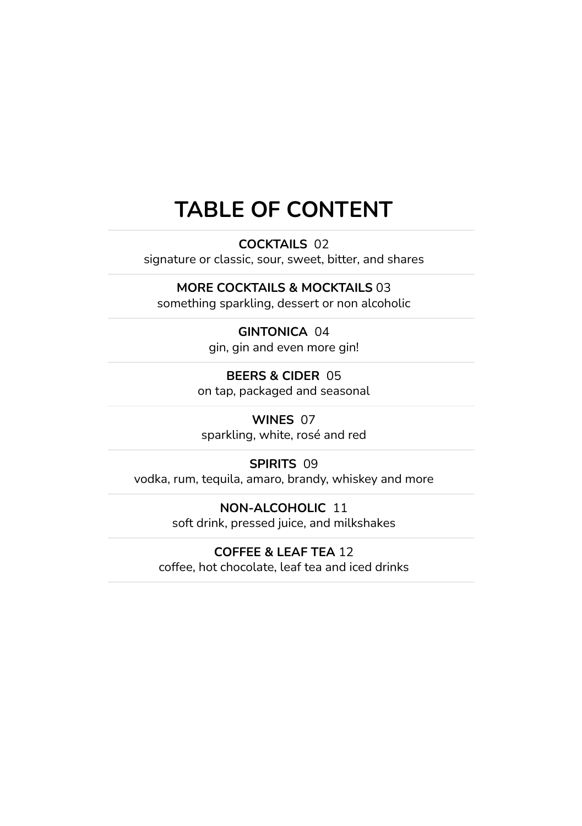#### **TABLE OF CONTENT**

**COCKTAILS** 02

signature or classic, sour, sweet, bitter, and shares

#### **MORE COCKTAILS & MOCKTAILS** 03

something sparkling, dessert or non alcoholic

#### **GINTONICA** 04

gin, gin and even more gin!

**BEERS & CIDER** 05 on tap, packaged and seasonal

**WINES** 07 sparkling, white, rosé and red

#### **SPIRITS** 09

vodka, rum, tequila, amaro, brandy, whiskey and more

**NON-ALCOHOLIC** 11 soft drink, pressed juice, and milkshakes

#### **COFFEE & LEAF TEA** 12

coffee, hot chocolate, leaf tea and iced drinks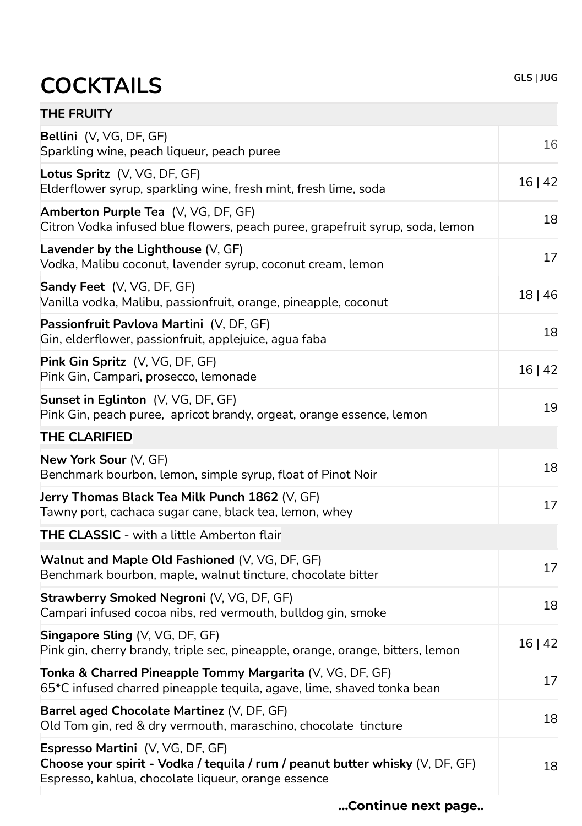# **COCKTAILS GLS** | **JUG**

| <b>THE FRUITY</b>                                                                                                                                                        |         |
|--------------------------------------------------------------------------------------------------------------------------------------------------------------------------|---------|
| Bellini (V, VG, DF, GF)<br>Sparkling wine, peach liqueur, peach puree                                                                                                    | 16      |
| Lotus Spritz (V, VG, DF, GF)<br>Elderflower syrup, sparkling wine, fresh mint, fresh lime, soda                                                                          | 16   42 |
| Amberton Purple Tea (V, VG, DF, GF)<br>Citron Vodka infused blue flowers, peach puree, grapefruit syrup, soda, lemon                                                     | 18      |
| Lavender by the Lighthouse (V, GF)<br>Vodka, Malibu coconut, lavender syrup, coconut cream, lemon                                                                        | 17      |
| Sandy Feet (V, VG, DF, GF)<br>Vanilla vodka, Malibu, passionfruit, orange, pineapple, coconut                                                                            | 18   46 |
| Passionfruit Pavlova Martini (V, DF, GF)<br>Gin, elderflower, passionfruit, applejuice, agua faba                                                                        | 18      |
| Pink Gin Spritz (V, VG, DF, GF)<br>Pink Gin, Campari, prosecco, lemonade                                                                                                 | 16 42   |
| Sunset in Eglinton (V, VG, DF, GF)<br>Pink Gin, peach puree, apricot brandy, orgeat, orange essence, lemon                                                               | 19      |
| THE CLARIFIED                                                                                                                                                            |         |
| New York Sour (V, GF)<br>Benchmark bourbon, lemon, simple syrup, float of Pinot Noir                                                                                     | 18      |
| Jerry Thomas Black Tea Milk Punch 1862 (V, GF)<br>Tawny port, cachaca sugar cane, black tea, lemon, whey                                                                 | 17      |
| <b>THE CLASSIC</b> - with a little Amberton flair                                                                                                                        |         |
| Walnut and Maple Old Fashioned (V, VG, DF, GF)<br>Benchmark bourbon, maple, walnut tincture, chocolate bitter                                                            | 17      |
| Strawberry Smoked Negroni (V, VG, DF, GF)<br>Campari infused cocoa nibs, red vermouth, bulldog gin, smoke                                                                | 18      |
| <b>Singapore Sling <math>(V, VG, DF, GF)</math></b><br>Pink gin, cherry brandy, triple sec, pineapple, orange, orange, bitters, lemon                                    | 16 42   |
| Tonka & Charred Pineapple Tommy Margarita (V, VG, DF, GF)<br>65*C infused charred pineapple tequila, agave, lime, shaved tonka bean                                      | 17      |
| Barrel aged Chocolate Martinez (V, DF, GF)<br>Old Tom gin, red & dry vermouth, maraschino, chocolate tincture                                                            | 18      |
| Espresso Martini (V, VG, DF, GF)<br>Choose your spirit - Vodka / tequila / rum / peanut butter whisky (V, DF, GF)<br>Espresso, kahlua, chocolate liqueur, orange essence | 18      |

**…Continue next page..**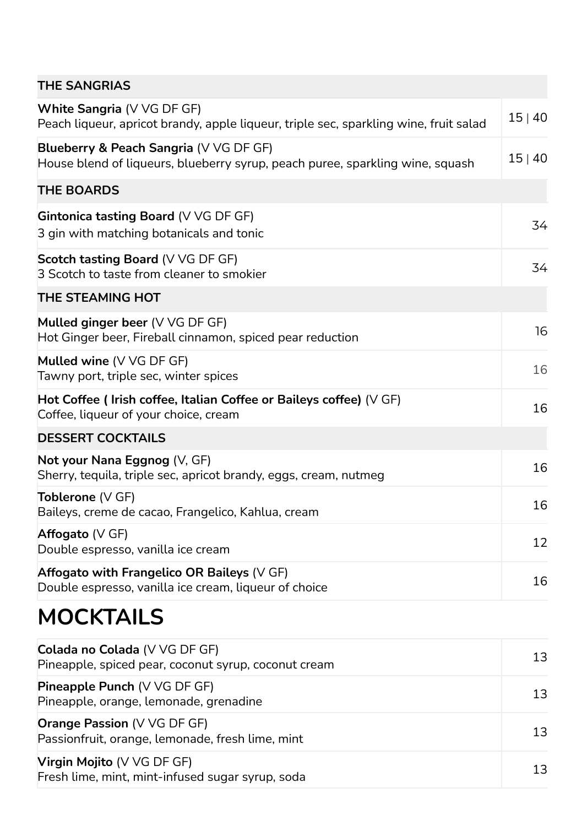| <b>THE SANGRIAS</b>                                                                                                     |       |
|-------------------------------------------------------------------------------------------------------------------------|-------|
| White Sangria (V VG DF GF)<br>Peach liqueur, apricot brandy, apple liqueur, triple sec, sparkling wine, fruit salad     | 15 40 |
| Blueberry & Peach Sangria (V VG DF GF)<br>House blend of liqueurs, blueberry syrup, peach puree, sparkling wine, squash | 15 40 |
| <b>THE BOARDS</b>                                                                                                       |       |
| Gintonica tasting Board (V VG DF GF)<br>3 gin with matching botanicals and tonic                                        | 34    |
| <b>Scotch tasting Board (V VG DF GF)</b><br>3 Scotch to taste from cleaner to smokier                                   | 34    |
| THE STEAMING HOT                                                                                                        |       |
| Mulled ginger beer (V VG DF GF)<br>Hot Ginger beer, Fireball cinnamon, spiced pear reduction                            | 16    |
| Mulled wine (V VG DF GF)<br>Tawny port, triple sec, winter spices                                                       | 16    |
| Hot Coffee ( Irish coffee, Italian Coffee or Baileys coffee) (V GF)<br>Coffee, liqueur of your choice, cream            | 16    |
| <b>DESSERT COCKTAILS</b>                                                                                                |       |
| Not your Nana Eggnog (V, GF)<br>Sherry, tequila, triple sec, apricot brandy, eggs, cream, nutmeg                        | 16    |
| <b>Toblerone</b> (V GF)<br>Baileys, creme de cacao, Frangelico, Kahlua, cream                                           | 16    |
| Affogato ( $V$ GF)<br>Double espresso, vanilla ice cream                                                                | 12    |
| Affogato with Frangelico OR Baileys (V GF)<br>Double espresso, vanilla ice cream, liqueur of choice                     | 16    |
| <b>MOCKTAILS</b>                                                                                                        |       |
| Colada no Colada (V VG DF GF)<br>Pineapple, spiced pear, coconut syrup, coconut cream                                   | 13    |
| <b>Pineapple Punch (V VG DF GF)</b><br>Pineapple, orange, lemonade, grenadine                                           | 13    |
| Orange Passion (V VG DF GF)<br>Passionfruit, orange, lemonade, fresh lime, mint                                         | 13    |
| Virgin Mojito (V VG DF GF)<br>Fresh lime, mint, mint-infused sugar syrup, soda                                          | 13    |
|                                                                                                                         |       |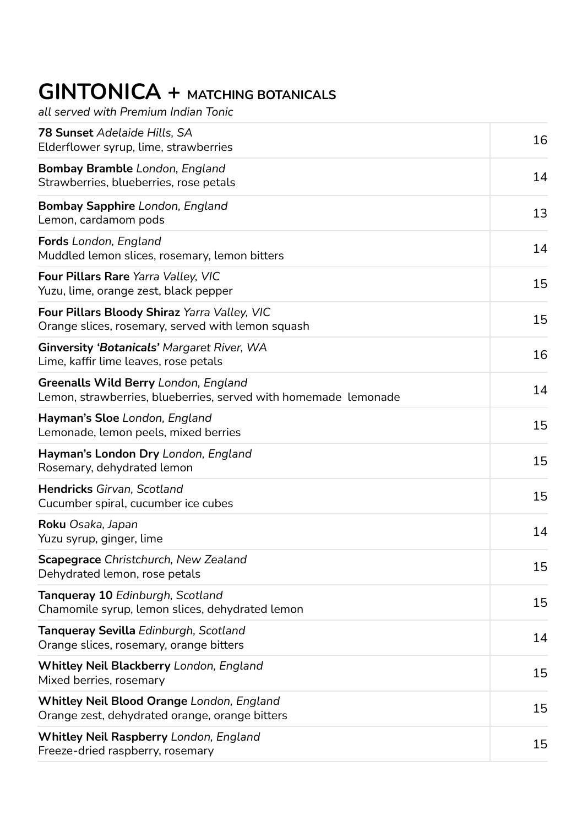### **GINTONICA + MATCHING BOTANICALS**

*all served with Premium Indian Tonic*

| <b>78 Sunset</b> Adelaide Hills, SA<br>Elderflower syrup, lime, strawberries                            | 16 |
|---------------------------------------------------------------------------------------------------------|----|
| <b>Bombay Bramble</b> London, England<br>Strawberries, blueberries, rose petals                         | 14 |
| Bombay Sapphire London, England<br>Lemon, cardamom pods                                                 | 13 |
| <b>Fords</b> London, England<br>Muddled lemon slices, rosemary, lemon bitters                           | 14 |
| Four Pillars Rare Yarra Valley, VIC<br>Yuzu, lime, orange zest, black pepper                            | 15 |
| Four Pillars Bloody Shiraz Yarra Valley, VIC<br>Orange slices, rosemary, served with lemon squash       | 15 |
| Ginversity 'Botanicals' Margaret River, WA<br>Lime, kaffir lime leaves, rose petals                     | 16 |
| Greenalls Wild Berry London, England<br>Lemon, strawberries, blueberries, served with homemade lemonade | 14 |
| Hayman's Sloe London, England<br>Lemonade, lemon peels, mixed berries                                   | 15 |
| Hayman's London Dry London, England<br>Rosemary, dehydrated lemon                                       | 15 |
| Hendricks Girvan, Scotland<br>Cucumber spiral, cucumber ice cubes                                       | 15 |
| <b>Roku</b> Osaka, Japan<br>Yuzu syrup, ginger, lime                                                    | 14 |
| <b>Scapegrace</b> Christchurch, New Zealand<br>Dehydrated lemon, rose petals                            | 15 |
| Tanqueray 10 Edinburgh, Scotland<br>Chamomile syrup, lemon slices, dehydrated lemon                     | 15 |
| <b>Tanqueray Sevilla</b> Edinburgh, Scotland<br>Orange slices, rosemary, orange bitters                 | 14 |
| Whitley Neil Blackberry London, England<br>Mixed berries, rosemary                                      | 15 |
| Whitley Neil Blood Orange London, England<br>Orange zest, dehydrated orange, orange bitters             | 15 |
| Whitley Neil Raspberry London, England<br>Freeze-dried raspberry, rosemary                              | 15 |
|                                                                                                         |    |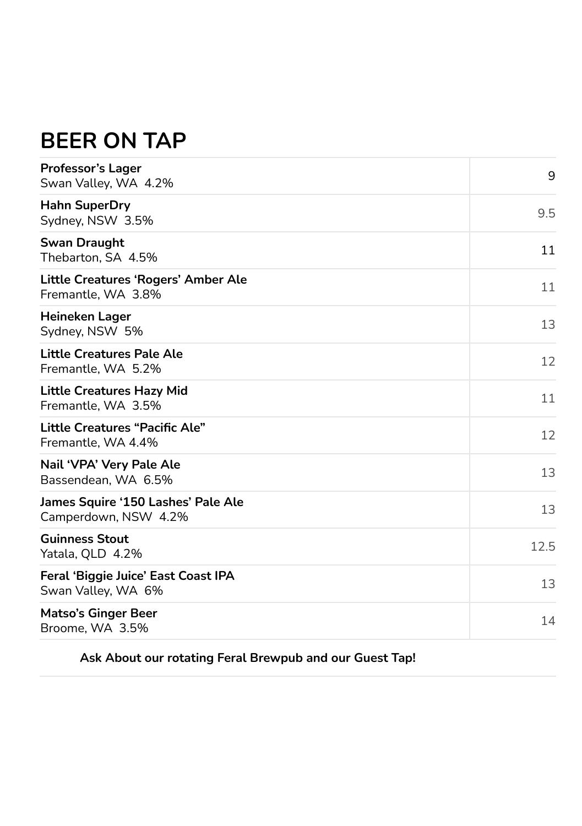#### **BEER ON TAP**

| <b>Professor's Lager</b><br>Swan Valley, WA 4.2%            | 9    |
|-------------------------------------------------------------|------|
| <b>Hahn SuperDry</b><br>Sydney, NSW 3.5%                    | 9.5  |
| <b>Swan Draught</b><br>Thebarton, SA 4.5%                   | 11   |
| Little Creatures 'Rogers' Amber Ale<br>Fremantle, WA 3.8%   | 11   |
| <b>Heineken Lager</b><br>Sydney, NSW 5%                     | 13   |
| Little Creatures Pale Ale<br>Fremantle, WA 5.2%             | 12   |
| <b>Little Creatures Hazy Mid</b><br>Fremantle, WA 3.5%      | 11   |
| <b>Little Creatures "Pacific Ale"</b><br>Fremantle, WA 4.4% | 12   |
| Nail 'VPA' Very Pale Ale<br>Bassendean, WA 6.5%             | 13   |
| James Squire '150 Lashes' Pale Ale<br>Camperdown, NSW 4.2%  | 13   |
| <b>Guinness Stout</b><br>Yatala, QLD 4.2%                   | 12.5 |
| Feral 'Biggie Juice' East Coast IPA<br>Swan Valley, WA 6%   | 13   |
| <b>Matso's Ginger Beer</b><br>Broome, WA 3.5%               | 14   |

**Ask About our rotating Feral Brewpub and our Guest Tap!**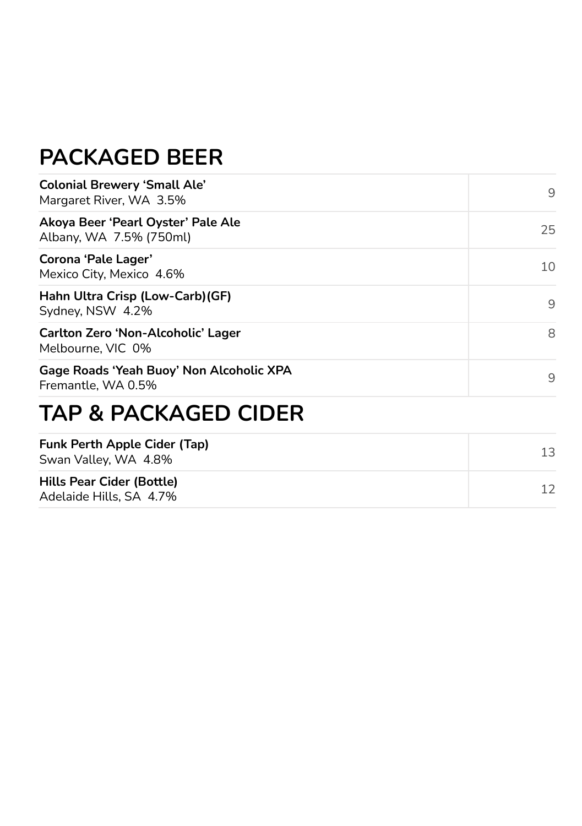#### **PACKAGED BEER**

| <b>Colonial Brewery 'Small Ale'</b><br>Margaret River, WA 3.5% | 9  |
|----------------------------------------------------------------|----|
| Akoya Beer 'Pearl Oyster' Pale Ale<br>Albany, WA 7.5% (750ml)  | 25 |
| Corona 'Pale Lager'<br>Mexico City, Mexico 4.6%                | 10 |
| Hahn Ultra Crisp (Low-Carb) (GF)<br>Sydney, NSW 4.2%           | 9  |
| Carlton Zero 'Non-Alcoholic' Lager<br>Melbourne, VIC 0%        | 8  |
| Gage Roads 'Yeah Buoy' Non Alcoholic XPA<br>Fremantle, WA 0.5% | 9  |
| <b>TAP &amp; PACKAGED CIDER</b>                                |    |
| <b>Funk Perth Apple Cider (Tap)</b><br>Swan Valley, WA 4.8%    | 13 |
| Hills Pear Cider (Bottle)<br>Adelaide Hills, SA 4.7%           | 12 |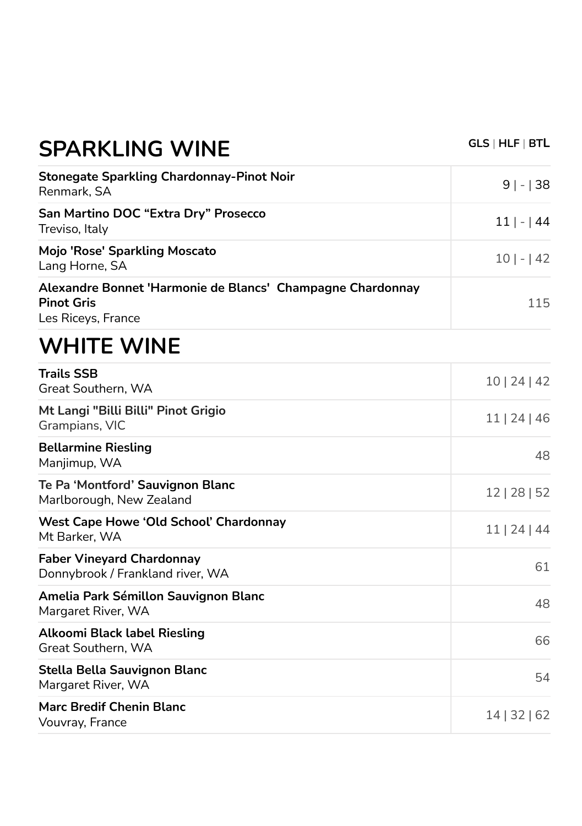| SPARKLING WINE                                                                                        |               |
|-------------------------------------------------------------------------------------------------------|---------------|
| <b>Stonegate Sparkling Chardonnay-Pinot Noir</b><br>Renmark, SA                                       | $9 - 38 $     |
| San Martino DOC "Extra Dry" Prosecco<br>Treviso, Italy                                                | $11$   -   44 |
| Mojo 'Rose' Sparkling Moscato<br>Lang Horne, SA                                                       | $10 -142$     |
| Alexandre Bonnet 'Harmonie de Blancs' Champagne Chardonnay<br><b>Pinot Gris</b><br>Les Riceys, France | 115           |
| <b>WHITE WINE</b>                                                                                     |               |
| <b>Trails SSB</b><br>Great Southern, WA                                                               | 10   24   42  |
| Mt Langi "Billi Billi" Pinot Grigio<br>Grampians, VIC                                                 | 11   24   46  |
| <b>Bellarmine Riesling</b><br>Manjimup, WA                                                            | 48            |
| Te Pa 'Montford' Sauvignon Blanc<br>Marlborough, New Zealand                                          | 12   28   52  |
| <b>West Cape Howe 'Old School' Chardonnay</b><br>Mt Barker, WA                                        | 11   24   44  |
| <b>Faber Vineyard Chardonnay</b><br>Donnybrook / Frankland river, WA                                  | 61            |
| Amelia Park Sémillon Sauvignon Blanc<br>Margaret River, WA                                            | 48            |
| <b>Alkoomi Black label Riesling</b><br>Great Southern, WA                                             | 66            |
| Stella Bella Sauvignon Blanc<br>Margaret River, WA                                                    | 54            |
|                                                                                                       |               |

#### **Marc Bredif Chenin Blanc**  Marc Bredit Chenin Blanc<br>Vouvray, France 14 | 32 | 62

**SPARKLING WINE GLS | HLF | BT<sup>L</sup>**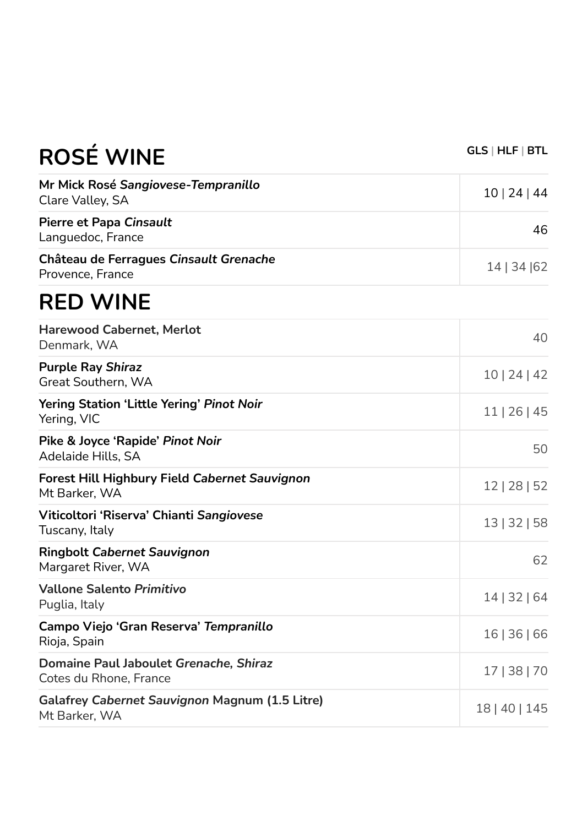| RUJE VVIIVE                                                            |               |
|------------------------------------------------------------------------|---------------|
| Mr Mick Rosé Sangiovese-Tempranillo<br>Clare Valley, SA                | 10   24   44  |
| <b>Pierre et Papa Cinsault</b><br>Languedoc, France                    | 46            |
| Château de Ferragues Cinsault Grenache<br>Provence, France             | 14   34   62  |
| <b>RED WINE</b>                                                        |               |
| <b>Harewood Cabernet, Merlot</b><br>Denmark, WA                        | 40            |
| <b>Purple Ray Shiraz</b><br>Great Southern, WA                         | 10   24   42  |
| Yering Station 'Little Yering' Pinot Noir<br>Yering, VIC               | 11   26   45  |
| Pike & Joyce 'Rapide' Pinot Noir<br>Adelaide Hills, SA                 | 50            |
| <b>Forest Hill Highbury Field Cabernet Sauvignon</b><br>Mt Barker, WA  | 12   28   52  |
| Viticoltori 'Riserva' Chianti Sangiovese<br>Tuscany, Italy             | 13   32   58  |
| <b>Ringbolt Cabernet Sauvignon</b><br>Margaret River, WA               | 62            |
| <b>Vallone Salento Primitivo</b><br>Puglia, Italy                      | 14   32   64  |
| Campo Viejo 'Gran Reserva' Tempranillo<br>Rioja, Spain                 | 16   36   66  |
| Domaine Paul Jaboulet Grenache, Shiraz<br>Cotes du Rhone, France       | 17   38   70  |
| <b>Galafrey Cabernet Sauvignon Magnum (1.5 Litre)</b><br>Mt Barker, WA | 18   40   145 |

**ROSÉ WINE GLS | HLF | BTL**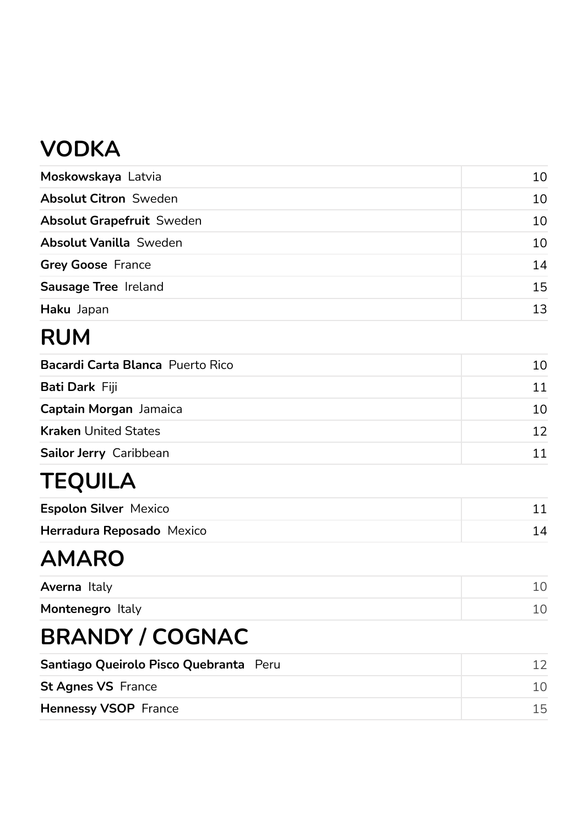# **VODKA**

| Moskowskaya Latvia               | 10               |
|----------------------------------|------------------|
| <b>Absolut Citron Sweden</b>     | 10 <sup>1</sup>  |
| <b>Absolut Grapefruit Sweden</b> | 10               |
| <b>Absolut Vanilla Sweden</b>    | 10               |
| <b>Grey Goose France</b>         | 14               |
| Sausage Tree Ireland             | 15               |
| Haku Japan                       | 13 <sup>13</sup> |

# **RUM**

| <b>Bacardi Carta Blanca</b> Puerto Rico | 10. |
|-----------------------------------------|-----|
| <b>Bati Dark Fiji</b>                   | 11  |
| Captain Morgan Jamaica                  | 10. |
| <b>Kraken United States</b>             | 12. |
| Sailor Jerry Caribbean                  |     |

# **TEQUILA**

| <b>Espolon Silver Mexico</b>     |  |
|----------------------------------|--|
| <b>Herradura Reposado</b> Mexico |  |

## **AMARO**

| Averna Italy     |  |
|------------------|--|
| Montenegro Italy |  |

# **BRANDY / COGNAC**

| Santiago Queirolo Pisco Quebranta Peru |     |
|----------------------------------------|-----|
| <b>St Agnes VS France</b>              |     |
| <b>Hennessy VSOP</b> France            | 15. |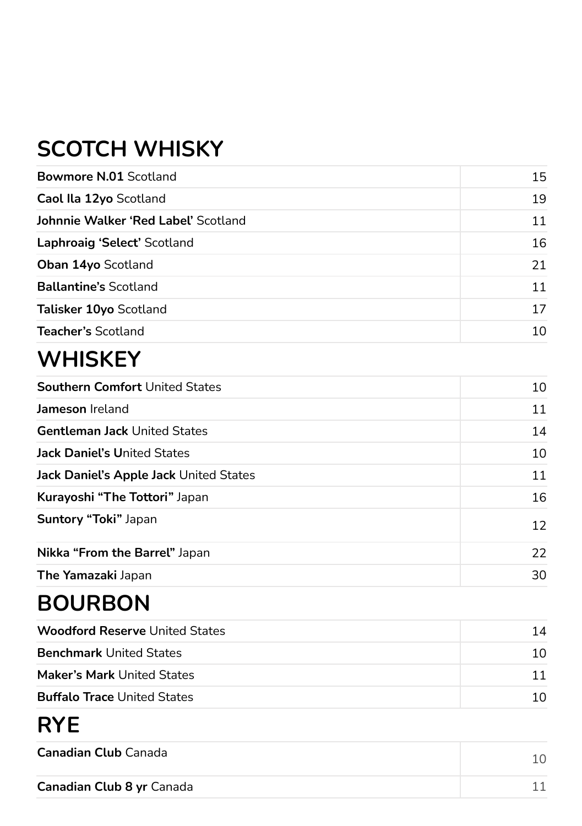# **SCOTCH WHISKY**

| <b>Bowmore N.01 Scotland</b>        | 15 |
|-------------------------------------|----|
| Caol Ila 12yo Scotland              | 19 |
| Johnnie Walker 'Red Label' Scotland | 11 |
| Laphroaig 'Select' Scotland         | 16 |
| <b>Oban 14yo Scotland</b>           | 21 |
| <b>Ballantine's Scotland</b>        | 11 |
| Talisker 10yo Scotland              | 17 |
| <b>Teacher's Scotland</b>           | 10 |

### **WHISKEY**

| <b>Southern Comfort United States</b>  | 10              |
|----------------------------------------|-----------------|
| Jameson Ireland                        | 11              |
| <b>Gentleman Jack United States</b>    | 14              |
| <b>Jack Daniel's United States</b>     | 10              |
| Jack Daniel's Apple Jack United States | 11              |
| Kurayoshi "The Tottori" Japan          | 16              |
| Suntory "Toki" Japan                   | 12 <sup>2</sup> |
| Nikka "From the Barrel" Japan          | 22              |
| The Yamazaki Japan                     | 30              |

### **BOURBON**

| <b>Woodford Reserve United States</b> | 14  |
|---------------------------------------|-----|
| <b>Benchmark United States</b>        | 1 O |
| <b>Maker's Mark United States</b>     | 11  |
| <b>Buffalo Trace United States</b>    | 1 O |

### **RYE**

| <b>Canadian Club</b> Canada      |  |
|----------------------------------|--|
| <b>Canadian Club 8 yr Canada</b> |  |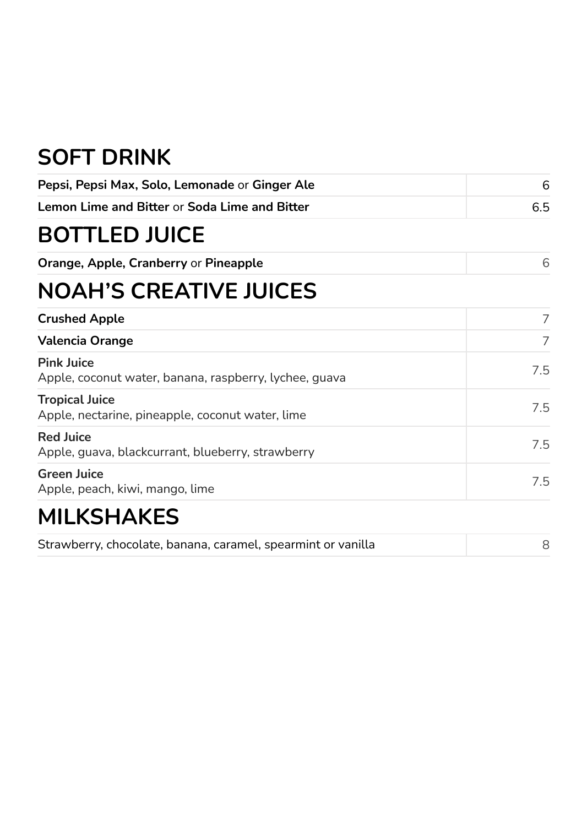## **SOFT DRINK**

| Pepsi, Pepsi Max, Solo, Lemonade or Ginger Ale                              | 6   |
|-----------------------------------------------------------------------------|-----|
| <b>Lemon Lime and Bitter or Soda Lime and Bitter</b>                        | 6.5 |
| <b>BOTTLED JUICE</b>                                                        |     |
| Orange, Apple, Cranberry or Pineapple                                       | 6   |
| <b>NOAH'S CREATIVE JUICES</b>                                               |     |
| <b>Crushed Apple</b>                                                        | 7   |
| <b>Valencia Orange</b>                                                      | 7   |
| <b>Pink Juice</b><br>Apple, coconut water, banana, raspberry, lychee, guava | 7.5 |
| <b>Tropical Juice</b><br>Apple, nectarine, pineapple, coconut water, lime   | 7.5 |
| <b>Red Juice</b><br>Apple, guava, blackcurrant, blueberry, strawberry       | 7.5 |
| <b>Green Juice</b><br>Apple, peach, kiwi, mango, lime                       | 7.5 |
| <b>MILKSHAKES</b>                                                           |     |
| Strawberry, chocolate, banana, caramel, spearmint or vanilla                | 8   |